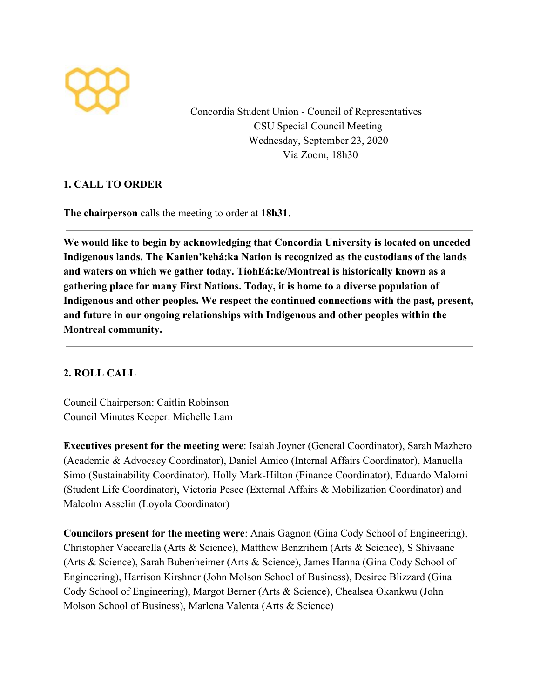

Concordia Student Union - Council of Representatives CSU Special Council Meeting Wednesday, September 23, 2020 Via Zoom, 18h30

## **1. CALL TO ORDER**

**The chairperson** calls the meeting to order at **18h31**.

**We would like to begin by acknowledging that Concordia University is located on unceded Indigenous lands. The Kanien'kehá:ka Nation is recognized as the custodians of the lands and waters on which we gather today. TiohEá:ke/Montreal is historically known as a gathering place for many First Nations. Today, it is home to a diverse population of Indigenous and other peoples. We respect the continued connections with the past, present, and future in our ongoing relationships with Indigenous and other peoples within the Montreal community.**

## **2. ROLL CALL**

Council Chairperson: Caitlin Robinson Council Minutes Keeper: Michelle Lam

**Executives present for the meeting were**: Isaiah Joyner (General Coordinator), Sarah Mazhero (Academic & Advocacy Coordinator), Daniel Amico (Internal Affairs Coordinator), Manuella Simo (Sustainability Coordinator), Holly Mark-Hilton (Finance Coordinator), Eduardo Malorni (Student Life Coordinator), Victoria Pesce (External Affairs & Mobilization Coordinator) and Malcolm Asselin (Loyola Coordinator)

**Councilors present for the meeting were**: Anais Gagnon (Gina Cody School of Engineering), Christopher Vaccarella (Arts & Science), Matthew Benzrihem (Arts & Science), S Shivaane (Arts & Science), Sarah Bubenheimer (Arts & Science), James Hanna (Gina Cody School of Engineering), Harrison Kirshner (John Molson School of Business), Desiree Blizzard (Gina Cody School of Engineering), Margot Berner (Arts & Science), Chealsea Okankwu (John Molson School of Business), Marlena Valenta (Arts & Science)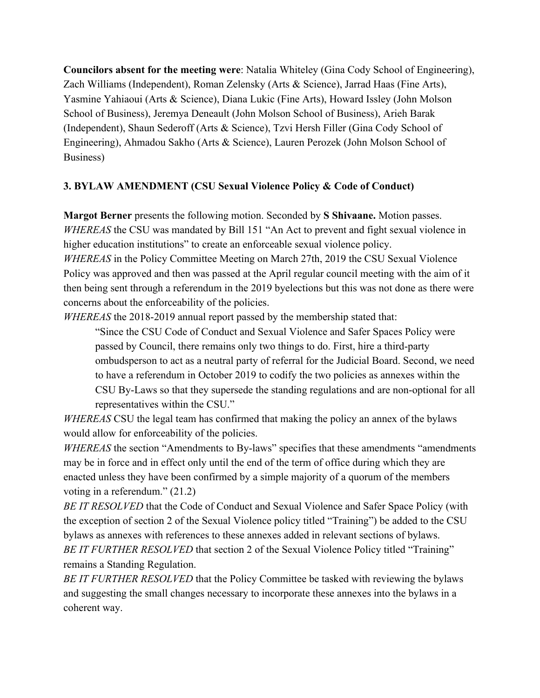**Councilors absent for the meeting were**: Natalia Whiteley (Gina Cody School of Engineering), Zach Williams (Independent), Roman Zelensky (Arts & Science), Jarrad Haas (Fine Arts), Yasmine Yahiaoui (Arts & Science), Diana Lukic (Fine Arts), Howard Issley (John Molson School of Business), Jeremya Deneault (John Molson School of Business), Arieh Barak (Independent), Shaun Sederoff (Arts & Science), Tzvi Hersh Filler (Gina Cody School of Engineering), Ahmadou Sakho (Arts & Science), Lauren Perozek (John Molson School of Business)

## **3. BYLAW AMENDMENT (CSU Sexual Violence Policy & Code of Conduct)**

**Margot Berner** presents the following motion. Seconded by **S Shivaane.** Motion passes. *WHEREAS* the CSU was mandated by Bill 151 "An Act to prevent and fight sexual violence in higher education institutions" to create an enforceable sexual violence policy. *WHEREAS* in the Policy Committee Meeting on March 27th, 2019 the CSU Sexual Violence

Policy was approved and then was passed at the April regular council meeting with the aim of it then being sent through a referendum in the 2019 byelections but this was not done as there were concerns about the enforceability of the policies.

*WHEREAS* the 2018-2019 annual report passed by the membership stated that:

"Since the CSU Code of Conduct and Sexual Violence and Safer Spaces Policy were passed by Council, there remains only two things to do. First, hire a third-party ombudsperson to act as a neutral party of referral for the Judicial Board. Second, we need to have a referendum in October 2019 to codify the two policies as annexes within the CSU By-Laws so that they supersede the standing regulations and are non-optional for all representatives within the CSU."

*WHEREAS* CSU the legal team has confirmed that making the policy an annex of the bylaws would allow for enforceability of the policies.

*WHEREAS* the section "Amendments to By-laws" specifies that these amendments "amendments may be in force and in effect only until the end of the term of office during which they are enacted unless they have been confirmed by a simple majority of a quorum of the members voting in a referendum." (21.2)

*BE IT RESOLVED* that the Code of Conduct and Sexual Violence and Safer Space Policy (with the exception of section 2 of the Sexual Violence policy titled "Training") be added to the CSU bylaws as annexes with references to these annexes added in relevant sections of bylaws. *BE IT FURTHER RESOLVED* that section 2 of the Sexual Violence Policy titled "Training" remains a Standing Regulation.

*BE IT FURTHER RESOLVED* that the Policy Committee be tasked with reviewing the bylaws and suggesting the small changes necessary to incorporate these annexes into the bylaws in a coherent way.